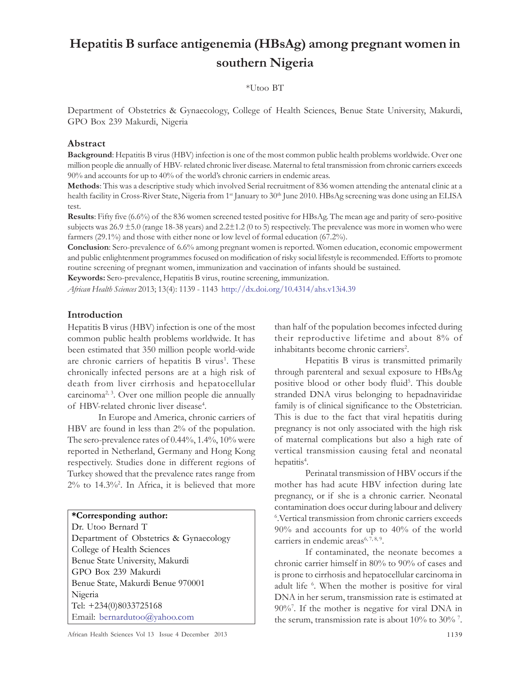# Hepatitis B surface antigenemia (HBsAg) among pregnant women in southern Nigeria

#### \*Utoo BT

Department of Obstetrics & Gynaecology, College of Health Sciences, Benue State University, Makurdi, GPO Box 239 Makurdi, Nigeria

#### Abstract

Background: Hepatitis B virus (HBV) infection is one of the most common public health problems worldwide. Over one million people die annually of HBV- related chronic liver disease. Maternal to fetal transmission from chronic carriers exceeds 90% and accounts for up to 40% of the world's chronic carriers in endemic areas.

Methods: This was a descriptive study which involved Serial recruitment of 836 women attending the antenatal clinic at a health facility in Cross-River State, Nigeria from 1<sup>st</sup> January to 30<sup>th</sup> June 2010. HBsAg screening was done using an ELISA test.

Results: Fifty five (6.6%) of the 836 women screened tested positive for HBsAg. The mean age and parity of sero-positive subjects was  $26.9 \pm 5.0$  (range 18-38 years) and  $2.2 \pm 1.2$  (0 to 5) respectively. The prevalence was more in women who were farmers (29.1%) and those with either none or low level of formal education (67.2%).

Conclusion: Sero-prevalence of 6.6% among pregnant women is reported. Women education, economic empowerment and public enlightenment programmes focused on modification of risky social lifestyle is recommended. Efforts to promote routine screening of pregnant women, immunization and vaccination of infants should be sustained.

Keywords: Sero-prevalence, Hepatitis B virus, routine screening, immunization.

African Health Sciences 2013; 13(4): 1139 - 1143 http://dx.doi.org/10.4314/ahs.v13i4.39

#### Introduction

Hepatitis B virus (HBV) infection is one of the most common public health problems worldwide. It has been estimated that 350 million people world-wide are chronic carriers of hepatitis B virus<sup>1</sup>. These chronically infected persons are at a high risk of death from liver cirrhosis and hepatocellular carcinoma2, 3. Over one million people die annually of HBV-related chronic liver disease<sup>4</sup>.

In Europe and America, chronic carriers of HBV are found in less than 2% of the population. The sero-prevalence rates of  $0.44\%$ ,  $1.4\%$ ,  $10\%$  were reported in Netherland, Germany and Hong Kong respectively. Studies done in different regions of Turkey showed that the prevalence rates range from  $2\%$  to 14.3%<sup>2</sup>. In Africa, it is believed that more

#### \*Corresponding author:

Dr. Utoo Bernard T Department of Obstetrics & Gynaecology College of Health Sciences Benue State University, Makurdi GPO Box 239 Makurdi Benue State, Makurdi Benue 970001 Nigeria Tel: +234(0)8033725168 Email: bernardutoo@yahoo.com

African Health Sciences Vol 13 Issue 4 December 2013 1139

than half of the population becomes infected during their reproductive lifetime and about 8% of inhabitants become chronic carriers<sup>2</sup>.

Hepatitis B virus is transmitted primarily through parenteral and sexual exposure to HBsAg positive blood or other body fluid<sup>5</sup>. This double stranded DNA virus belonging to hepadnaviridae family is of clinical significance to the Obstetrician. This is due to the fact that viral hepatitis during pregnancy is not only associated with the high risk of maternal complications but also a high rate of vertical transmission causing fetal and neonatal hepatitis<sup>4</sup>.

Perinatal transmission of HBV occurs if the mother has had acute HBV infection during late pregnancy, or if she is a chronic carrier. Neonatal contamination does occur during labour and delivery 6 .Vertical transmission from chronic carriers exceeds 90% and accounts for up to 40% of the world carriers in endemic areas<sup>6, 7, 8, 9</sup>.

If contaminated, the neonate becomes a chronic carrier himself in 80% to 90% of cases and is prone to cirrhosis and hepatocellular carcinoma in adult life <sup>6</sup> . When the mother is positive for viral DNA in her serum, transmission rate is estimated at 90%<sup>7</sup> . If the mother is negative for viral DNA in the serum, transmission rate is about  $10\%$  to  $30\%$ <sup>7</sup>.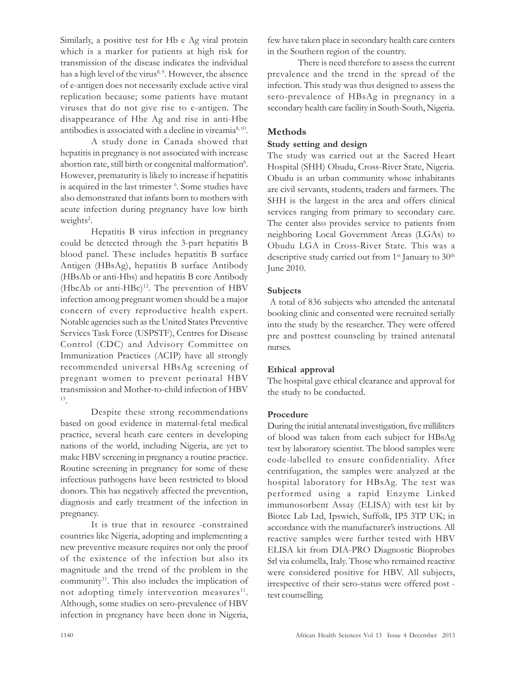Similarly, a positive test for Hb e Ag viral protein which is a marker for patients at high risk for transmission of the disease indicates the individual has a high level of the virus<sup>8,9</sup>. However, the absence of e-antigen does not necessarily exclude active viral replication because; some patients have mutant viruses that do not give rise to e-antigen. The disappearance of Hbe Ag and rise in anti-Hbe antibodies is associated with a decline in vireamia $8,10$ .

A study done in Canada showed that hepatitis in pregnancy is not associated with increase abortion rate, still birth or congenital malformation<sup>6</sup>. However, prematurity is likely to increase if hepatitis is acquired in the last trimester <sup>6</sup>. Some studies have also demonstrated that infants born to mothers with acute infection during pregnancy have low birth weights<sup>2</sup>.

Hepatitis B virus infection in pregnancy could be detected through the 3-part hepatitis B blood panel. These includes hepatitis B surface Antigen (HBsAg), hepatitis B surface Antibody (HBsAb or anti-Hbs) and hepatitis B core Antibody  $(HbcAb)$  or anti-HBc)<sup>12</sup>. The prevention of HBV infection among pregnant women should be a major concern of every reproductive health expert. Notable agencies such as the United States Preventive Services Task Force (USPSTF), Centres for Disease Control (CDC) and Advisory Committee on Immunization Practices (ACIP) have all strongly recommended universal HBsAg screening of pregnant women to prevent perinatal HBV transmission and Mother-to-child infection of HBV 13 .

Despite these strong recommendations based on good evidence in maternal-fetal medical practice, several heath care centers in developing nations of the world, including Nigeria, are yet to make HBV screening in pregnancy a routine practice. Routine screening in pregnancy for some of these infectious pathogens have been restricted to blood donors. This has negatively affected the prevention, diagnosis and early treatment of the infection in pregnancy.

It is true that in resource -constrained countries like Nigeria, adopting and implementing a new preventive measure requires not only the proof of the existence of the infection but also its magnitude and the trend of the problem in the community $11$ . This also includes the implication of not adopting timely intervention measures<sup>11</sup>. Although, some studies on sero-prevalence of HBV infection in pregnancy have been done in Nigeria,

few have taken place in secondary health care centers in the Southern region of the country.

There is need therefore to assess the current prevalence and the trend in the spread of the infection. This study was thus designed to assess the sero-prevalence of HBsAg in pregnancy in a secondary health care facility in South-South, Nigeria.

# Methods

# Study setting and design

The study was carried out at the Sacred Heart Hospital (SHH) Obudu, Cross-River State, Nigeria. Obudu is an urban community whose inhabitants are civil servants, students, traders and farmers. The SHH is the largest in the area and offers clinical services ranging from primary to secondary care. The center also provides service to patients from neighboring Local Government Areas (LGAs) to Obudu LGA in Cross-River State. This was a descriptive study carried out from 1<sup>st</sup> January to 30<sup>th</sup> June 2010.

# Subjects

 A total of 836 subjects who attended the antenatal booking clinic and consented were recruited serially into the study by the researcher. They were offered pre and posttest counseling by trained antenatal nurses.

## Ethical approval

The hospital gave ethical clearance and approval for the study to be conducted.

## Procedure

During the initial antenatal investigation, five milliliters of blood was taken from each subject for HBsAg test by laboratory scientist. The blood samples were code-labelled to ensure confidentiality. After centrifugation, the samples were analyzed at the hospital laboratory for HBsAg. The test was performed using a rapid Enzyme Linked immunosorbent Assay (ELISA) with test kit by Biotec Lab Ltd, Ipswich, Suffolk, IP5 3TP UK; in accordance with the manufacturer's instructions. All reactive samples were further tested with HBV ELISA kit from DIA-PRO Diagnostic Bioprobes Srl via columella, Italy. Those who remained reactive were considered positive for HBV. All subjects, irrespective of their sero-status were offered post test counselling.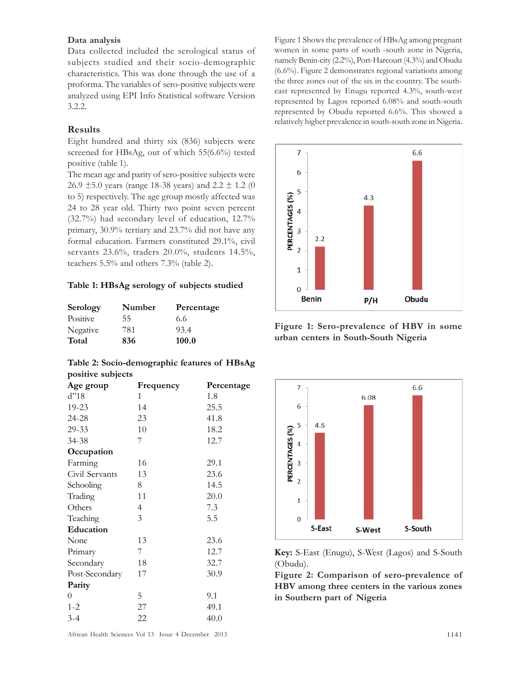#### Data analysis

Data collected included the serological status of subjects studied and their socio-demographic characteristics. This was done through the use of a proforma. The variables of sero-positive subjects were analyzed using EPI Info Statistical software Version 3.2.2.

#### Results

Eight hundred and thirty six (836) subjects were screened for HBsAg, out of which 55(6.6%) tested positive (table 1).

The mean age and parity of sero-positive subjects were 26.9  $\pm$ 5.0 years (range 18-38 years) and 2.2  $\pm$  1.2 (0 to 5) respectively. The age group mostly affected was 24 to 28 year old. Thirty two point seven percent (32.7%) had secondary level of education, 12.7% primary, 30.9% tertiary and 23.7% did not have any formal education. Farmers constituted 29.1%, civil servants 23.6%, traders 20.0%, students 14.5%, teachers 5.5% and others 7.3% (table 2).

#### Table 1: HBsAg serology of subjects studied

| Serology | Number | Percentage |
|----------|--------|------------|
| Positive | 55     | 6.6        |
| Negative | 781    | 93.4       |
| Total    | 836    | 100.0      |

| Table 2: Socio-demographic features of HBsAg |  |
|----------------------------------------------|--|
| positive subjects                            |  |

| Age group            | Frequency | Percentage |
|----------------------|-----------|------------|
| $d'$ <sup>2</sup> 18 | 1         | 1.8        |
| 19-23                | 14        | 25.5       |
| 24-28                | 23        | 41.8       |
| 29-33                | 10        | 18.2       |
| 34-38                | 7         | 12.7       |
| Occupation           |           |            |
| Farming              | 16        | 29.1       |
| Civil Servants       | 13        | 23.6       |
| Schooling            | 8         | 14.5       |
| Trading              | 11        | 20.0       |
| Others               | 4         | 7.3        |
| Teaching             | 3         | 5.5        |
| Education            |           |            |
| None                 | 13        | 23.6       |
| Primary              | 7         | 12.7       |
| Secondary            | 18        | 32.7       |
| Post-Secondary       | 17        | 30.9       |
| Parity               |           |            |
| $\boldsymbol{0}$     | 5         | 9.1        |
| $1 - 2$              | 27        | 49.1       |
| $3 - 4$              | 22        | 40.0       |
|                      |           |            |

Figure 1 Shows the prevalence of HBsAg among pregnant women in some parts of south -south zone in Nigeria, namely Benin-city (2.2%), Port-Harcourt (4.3%) and Obudu (6.6%). Figure 2 demonstrates regional variations among the three zones out of the six in the country. The southeast represented by Enugu reported 4.3%, south-west represented by Lagos reported 6.08% and south-south represented by Obudu reported 6.6%. This showed a relatively higher prevalence in south-south zone in Nigeria.



Figure 1: Sero-prevalence of HBV in some urban centers in South-South Nigeria



Key: S-East (Enugu), S-West (Lagos) and S-South (Obudu).

Figure 2: Comparison of sero-prevalence of HBV among three centers in the various zones in Southern part of Nigeria

African Health Sciences Vol 13 Issue 4 December 2013 1141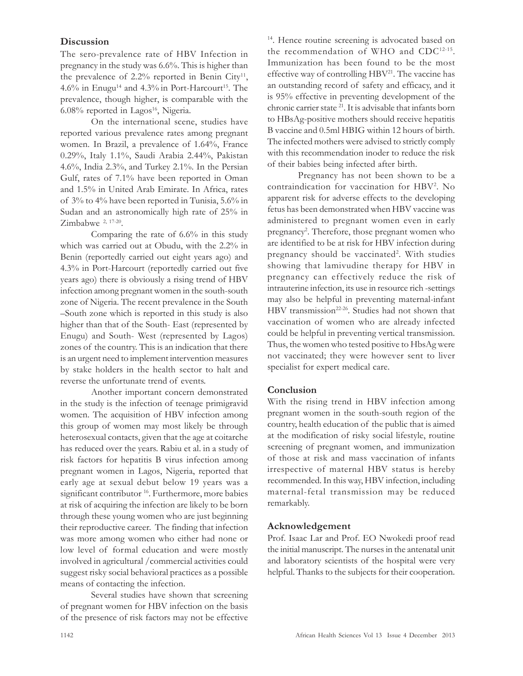# **Discussion**

The sero-prevalence rate of HBV Infection in pregnancy in the study was 6.6%. This is higher than the prevalence of  $2.2\%$  reported in Benin City<sup>11</sup>, 4.6% in Enugu<sup>14</sup> and 4.3% in Port-Harcourt<sup>15</sup>. The prevalence, though higher, is comparable with the  $6.08\%$  reported in Lagos<sup>16</sup>, Nigeria.

On the international scene, studies have reported various prevalence rates among pregnant women. In Brazil, a prevalence of 1.64%, France 0.29%, Italy 1.1%, Saudi Arabia 2.44%, Pakistan 4.6%, India 2.3%, and Turkey 2.1%. In the Persian Gulf, rates of 7.1% have been reported in Oman and 1.5% in United Arab Emirate. In Africa, rates of 3% to 4% have been reported in Tunisia, 5.6% in Sudan and an astronomically high rate of 25% in Zimbabwe <sup>2, 17-20</sup>.

Comparing the rate of 6.6% in this study which was carried out at Obudu, with the 2.2% in Benin (reportedly carried out eight years ago) and 4.3% in Port-Harcourt (reportedly carried out five years ago) there is obviously a rising trend of HBV infection among pregnant women in the south-south zone of Nigeria. The recent prevalence in the South –South zone which is reported in this study is also higher than that of the South- East (represented by Enugu) and South- West (represented by Lagos) zones of the country. This is an indication that there is an urgent need to implement intervention measures by stake holders in the health sector to halt and reverse the unfortunate trend of events.

Another important concern demonstrated in the study is the infection of teenage primigravid women. The acquisition of HBV infection among this group of women may most likely be through heterosexual contacts, given that the age at coitarche has reduced over the years. Rabiu et al. in a study of risk factors for hepatitis B virus infection among pregnant women in Lagos, Nigeria, reported that early age at sexual debut below 19 years was a significant contributor<sup>16</sup>. Furthermore, more babies at risk of acquiring the infection are likely to be born through these young women who are just beginning their reproductive career. The finding that infection was more among women who either had none or low level of formal education and were mostly involved in agricultural /commercial activities could suggest risky social behavioral practices as a possible means of contacting the infection.

Several studies have shown that screening of pregnant women for HBV infection on the basis of the presence of risk factors may not be effective <sup>14</sup>. Hence routine screening is advocated based on the recommendation of WHO and CDC12-15 . Immunization has been found to be the most effective way of controlling  $HBV<sup>21</sup>$ . The vaccine has an outstanding record of safety and efficacy, and it is 95% effective in preventing development of the chronic carrier state <sup>21</sup>. It is advisable that infants born to HBsAg-positive mothers should receive hepatitis B vaccine and 0.5ml HBIG within 12 hours of birth. The infected mothers were advised to strictly comply with this recommendation inoder to reduce the risk of their babies being infected after birth.

Pregnancy has not been shown to be a contraindication for vaccination for HBV<sup>2</sup> . No apparent risk for adverse effects to the developing fetus has been demonstrated when HBV vaccine was administered to pregnant women even in early pregnancy<sup>2</sup>. Therefore, those pregnant women who are identified to be at risk for HBV infection during pregnancy should be vaccinated<sup>2</sup>. With studies showing that lamivudine therapy for HBV in pregnancy can effectively reduce the risk of intrauterine infection, its use in resource rich -settings may also be helpful in preventing maternal-infant HBV transmission<sup>22-26</sup>. Studies had not shown that vaccination of women who are already infected could be helpful in preventing vertical transmission. Thus, the women who tested positive to HbsAg were not vaccinated; they were however sent to liver specialist for expert medical care.

## Conclusion

With the rising trend in HBV infection among pregnant women in the south-south region of the country, health education of the public that is aimed at the modification of risky social lifestyle, routine screening of pregnant women, and immunization of those at risk and mass vaccination of infants irrespective of maternal HBV status is hereby recommended. In this way, HBV infection, including maternal-fetal transmission may be reduced remarkably.

## Acknowledgement

Prof. Isaac Lar and Prof. EO Nwokedi proof read the initial manuscript. The nurses in the antenatal unit and laboratory scientists of the hospital were very helpful. Thanks to the subjects for their cooperation.